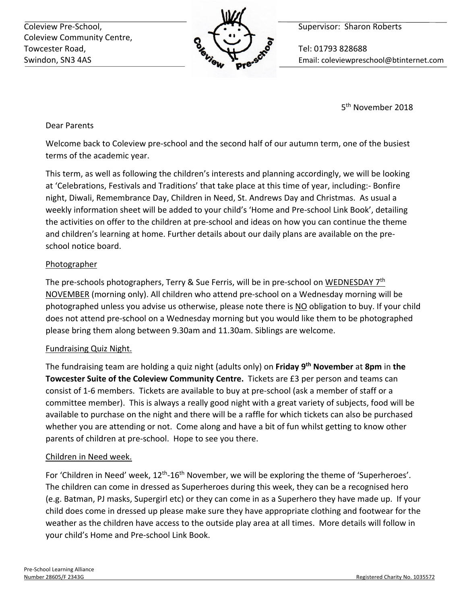Coleview Pre-School, **Supervisor: Sharon Roberts** Coleview Pre-School, Coleview Community Centre, Towcester Road, **The Contract of Tel: 01793 828688** 



Swindon, SN3 4AS Email: coleviewpreschool@btinternet.com

5<sup>th</sup> November 2018

Dear Parents

Welcome back to Coleview pre-school and the second half of our autumn term, one of the busiest terms of the academic year.

This term, as well as following the children's interests and planning accordingly, we will be looking at 'Celebrations, Festivals and Traditions' that take place at this time of year, including:- Bonfire night, Diwali, Remembrance Day, Children in Need, St. Andrews Day and Christmas. As usual a weekly information sheet will be added to your child's 'Home and Pre-school Link Book', detailing the activities on offer to the children at pre-school and ideas on how you can continue the theme and children's learning at home. Further details about our daily plans are available on the preschool notice board.

## Photographer

The pre-schools photographers, Terry & Sue Ferris, will be in pre-school on WEDNESDAY 7<sup>th</sup> NOVEMBER (morning only). All children who attend pre-school on a Wednesday morning will be photographed unless you advise us otherwise, please note there is NO obligation to buy. If your child does not attend pre-school on a Wednesday morning but you would like them to be photographed please bring them along between 9.30am and 11.30am. Siblings are welcome.

# Fundraising Quiz Night.

The fundraising team are holding a quiz night (adults only) on **Friday 9th November** at **8pm** in **the Towcester Suite of the Coleview Community Centre.** Tickets are £3 per person and teams can consist of 1-6 members. Tickets are available to buy at pre-school (ask a member of staff or a committee member). This is always a really good night with a great variety of subjects, food will be available to purchase on the night and there will be a raffle for which tickets can also be purchased whether you are attending or not. Come along and have a bit of fun whilst getting to know other parents of children at pre-school. Hope to see you there.

## Children in Need week.

For 'Children in Need' week, 12<sup>th</sup>-16<sup>th</sup> November, we will be exploring the theme of 'Superheroes'. The children can come in dressed as Superheroes during this week, they can be a recognised hero (e.g. Batman, PJ masks, Supergirl etc) or they can come in as a Superhero they have made up. If your child does come in dressed up please make sure they have appropriate clothing and footwear for the weather as the children have access to the outside play area at all times. More details will follow in your child's Home and Pre-school Link Book.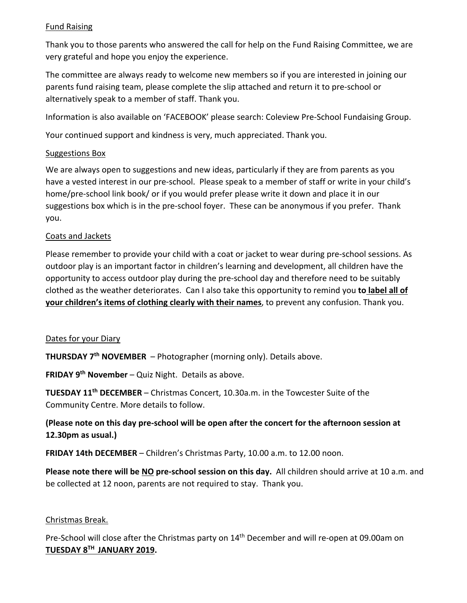### Fund Raising

Thank you to those parents who answered the call for help on the Fund Raising Committee, we are very grateful and hope you enjoy the experience.

The committee are always ready to welcome new members so if you are interested in joining our parents fund raising team, please complete the slip attached and return it to pre-school or alternatively speak to a member of staff. Thank you.

Information is also available on 'FACEBOOK' please search: Coleview Pre-School Fundaising Group.

Your continued support and kindness is very, much appreciated. Thank you.

#### Suggestions Box

We are always open to suggestions and new ideas, particularly if they are from parents as you have a vested interest in our pre-school. Please speak to a member of staff or write in your child's home/pre-school link book/ or if you would prefer please write it down and place it in our suggestions box which is in the pre-school foyer. These can be anonymous if you prefer. Thank you.

### Coats and Jackets

Please remember to provide your child with a coat or jacket to wear during pre-school sessions. As outdoor play is an important factor in children's learning and development, all children have the opportunity to access outdoor play during the pre-school day and therefore need to be suitably clothed as the weather deteriorates. Can I also take this opportunity to remind you **to label all of your children's items of clothing clearly with their names**, to prevent any confusion. Thank you.

#### Dates for your Diary

**THURSDAY 7th NOVEMBER** – Photographer (morning only). Details above.

**FRIDAY 9th November** – Quiz Night. Details as above.

**TUESDAY 11th DECEMBER** – Christmas Concert, 10.30a.m. in the Towcester Suite of the Community Centre. More details to follow.

# **(Please note on this day pre-school will be open after the concert for the afternoon session at 12.30pm as usual.)**

**FRIDAY 14th DECEMBER** – Children's Christmas Party, 10.00 a.m. to 12.00 noon.

**Please note there will be NO pre-school session on this day.** All children should arrive at 10 a.m. and be collected at 12 noon, parents are not required to stay. Thank you.

## Christmas Break.

Pre-School will close after the Christmas party on 14<sup>th</sup> December and will re-open at 09.00am on **TUESDAY 8TH JANUARY 2019.**